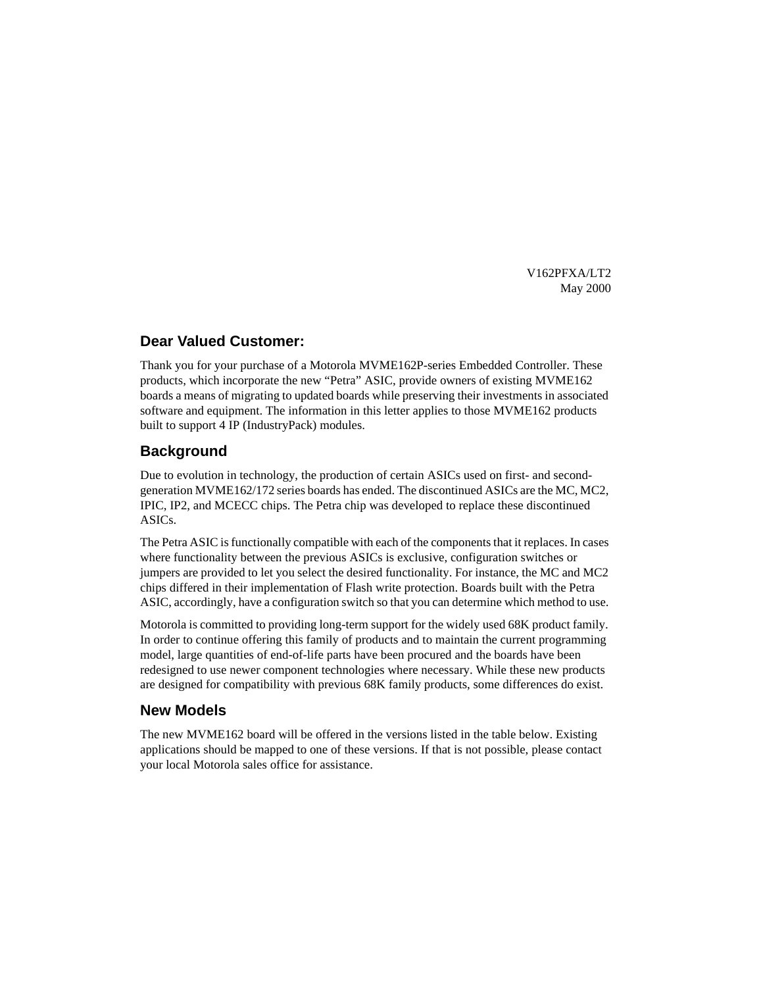V162PFXA/LT2 May 2000

## **Dear Valued Customer:**

Thank you for your purchase of a Motorola MVME162P-series Embedded Controller. These products, which incorporate the new "Petra" ASIC, provide owners of existing MVME162 boards a means of migrating to updated boards while preserving their investments in associated software and equipment. The information in this letter applies to those MVME162 products built to support 4 IP (IndustryPack) modules.

## **Background**

Due to evolution in technology, the production of certain ASICs used on first- and secondgeneration MVME162/172 series boards has ended. The discontinued ASICs are the MC, MC2, IPIC, IP2, and MCECC chips. The Petra chip was developed to replace these discontinued ASICs.

The Petra ASIC is functionally compatible with each of the components that it replaces. In cases where functionality between the previous ASICs is exclusive, configuration switches or jumpers are provided to let you select the desired functionality. For instance, the MC and MC2 chips differed in their implementation of Flash write protection. Boards built with the Petra ASIC, accordingly, have a configuration switch so that you can determine which method to use.

Motorola is committed to providing long-term support for the widely used 68K product family. In order to continue offering this family of products and to maintain the current programming model, large quantities of end-of-life parts have been procured and the boards have been redesigned to use newer component technologies where necessary. While these new products are designed for compatibility with previous 68K family products, some differences do exist.

### **New Models**

The new MVME162 board will be offered in the versions listed in the table below. Existing applications should be mapped to one of these versions. If that is not possible, please contact your local Motorola sales office for assistance.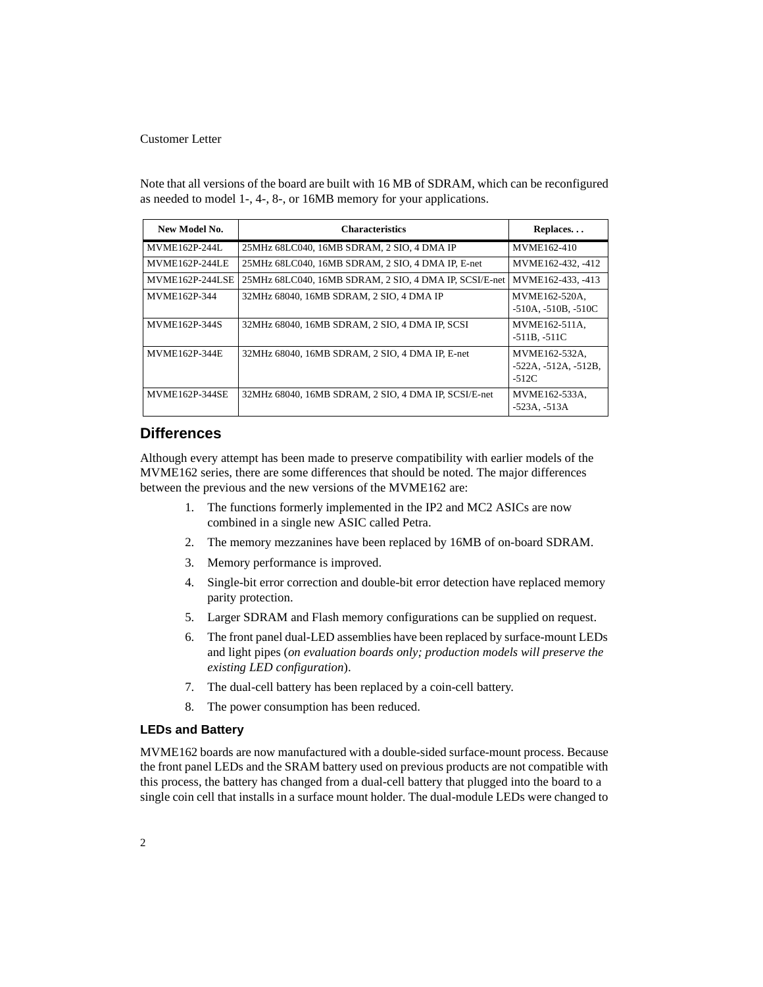Note that all versions of the board are built with 16 MB of SDRAM, which can be reconfigured as needed to model 1-, 4-, 8-, or 16MB memory for your applications.

| New Model No.          | <b>Characteristics</b>                                 | Replaces                                           |
|------------------------|--------------------------------------------------------|----------------------------------------------------|
| MVME162P-244L          | 25MHz 68LC040, 16MB SDRAM, 2 SIO, 4 DMA IP             | MVME162-410                                        |
| MVME162P-244LE         | 25MHz 68LC040, 16MB SDRAM, 2 SIO, 4 DMA IP, E-net      | MVME <sub>162</sub> -432, -412                     |
| <b>MVME162P-244LSE</b> | 25MHz 68LC040, 16MB SDRAM, 2 SIO, 4 DMA IP, SCSI/E-net | $MVME162-433, -413$                                |
| MVME162P-344           | 32MHz 68040, 16MB SDRAM, 2 SIO, 4 DMA IP               | MVME162-520A.<br>$-510A, -510B, -510C$             |
| MVME162P-344S          | 32MHz 68040, 16MB SDRAM, 2 SIO, 4 DMA IP, SCSI         | MVME162-511A,<br>$-511B, -511C$                    |
| <b>MVME162P-344E</b>   | 32MHz 68040, 16MB SDRAM, 2 SIO, 4 DMA IP, E-net        | MVME162-532A.<br>$-522A, -512A, -512B,$<br>$-512C$ |
| <b>MVME162P-344SE</b>  | 32MHz 68040, 16MB SDRAM, 2 SIO, 4 DMA IP, SCSI/E-net   | MVME162-533A.<br>$-523A - 513A$                    |

## **Differences**

Although every attempt has been made to preserve compatibility with earlier models of the MVME162 series, there are some differences that should be noted. The major differences between the previous and the new versions of the MVME162 are:

- 1. The functions formerly implemented in the IP2 and MC2 ASICs are now combined in a single new ASIC called Petra.
- 2. The memory mezzanines have been replaced by 16MB of on-board SDRAM.
- 3. Memory performance is improved.
- 4. Single-bit error correction and double-bit error detection have replaced memory parity protection.
- 5. Larger SDRAM and Flash memory configurations can be supplied on request.
- 6. The front panel dual-LED assemblies have been replaced by surface-mount LEDs and light pipes (*on evaluation boards only; production models will preserve the existing LED configuration*).
- 7. The dual-cell battery has been replaced by a coin-cell battery.
- 8. The power consumption has been reduced.

#### **LEDs and Battery**

MVME162 boards are now manufactured with a double-sided surface-mount process. Because the front panel LEDs and the SRAM battery used on previous products are not compatible with this process, the battery has changed from a dual-cell battery that plugged into the board to a single coin cell that installs in a surface mount holder. The dual-module LEDs were changed to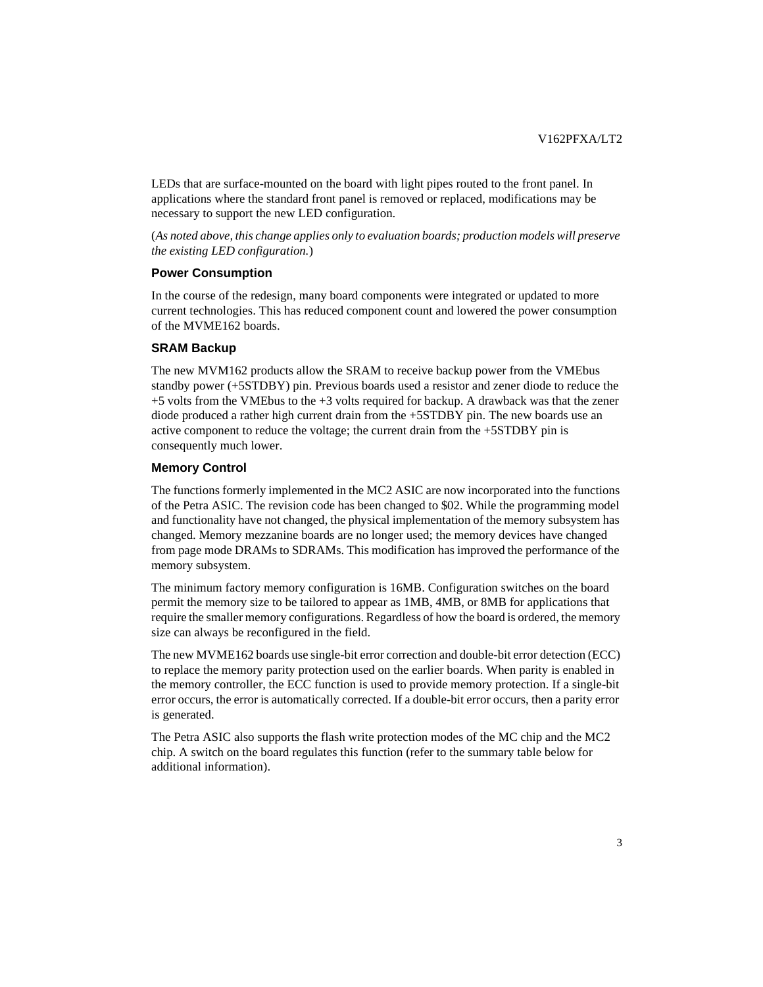LEDs that are surface-mounted on the board with light pipes routed to the front panel. In applications where the standard front panel is removed or replaced, modifications may be necessary to support the new LED configuration.

(*As noted above, this change applies only to evaluation boards; production models will preserve the existing LED configuration.*)

#### **Power Consumption**

In the course of the redesign, many board components were integrated or updated to more current technologies. This has reduced component count and lowered the power consumption of the MVME162 boards.

#### **SRAM Backup**

The new MVM162 products allow the SRAM to receive backup power from the VMEbus standby power (+5STDBY) pin. Previous boards used a resistor and zener diode to reduce the  $+5$  volts from the VME bus to the  $+3$  volts required for backup. A drawback was that the zener diode produced a rather high current drain from the +5STDBY pin. The new boards use an active component to reduce the voltage; the current drain from the +5STDBY pin is consequently much lower.

#### **Memory Control**

The functions formerly implemented in the MC2 ASIC are now incorporated into the functions of the Petra ASIC. The revision code has been changed to \$02. While the programming model and functionality have not changed, the physical implementation of the memory subsystem has changed. Memory mezzanine boards are no longer used; the memory devices have changed from page mode DRAMs to SDRAMs. This modification has improved the performance of the memory subsystem.

The minimum factory memory configuration is 16MB. Configuration switches on the board permit the memory size to be tailored to appear as 1MB, 4MB, or 8MB for applications that require the smaller memory configurations. Regardless of how the board is ordered, the memory size can always be reconfigured in the field.

The new MVME162 boards use single-bit error correction and double-bit error detection (ECC) to replace the memory parity protection used on the earlier boards. When parity is enabled in the memory controller, the ECC function is used to provide memory protection. If a single-bit error occurs, the error is automatically corrected. If a double-bit error occurs, then a parity error is generated.

The Petra ASIC also supports the flash write protection modes of the MC chip and the MC2 chip. A switch on the board regulates this function (refer to the summary table below for additional information).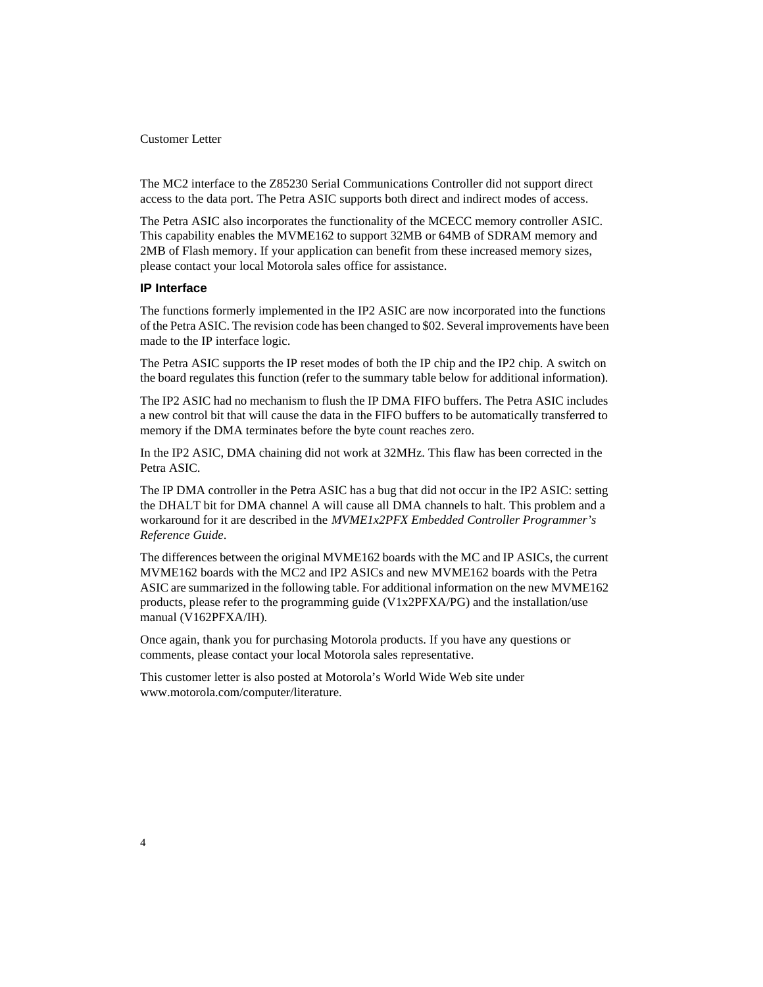The MC2 interface to the Z85230 Serial Communications Controller did not support direct access to the data port. The Petra ASIC supports both direct and indirect modes of access.

The Petra ASIC also incorporates the functionality of the MCECC memory controller ASIC. This capability enables the MVME162 to support 32MB or 64MB of SDRAM memory and 2MB of Flash memory. If your application can benefit from these increased memory sizes, please contact your local Motorola sales office for assistance.

### **IP Interface**

The functions formerly implemented in the IP2 ASIC are now incorporated into the functions of the Petra ASIC. The revision code has been changed to \$02. Several improvements have been made to the IP interface logic.

The Petra ASIC supports the IP reset modes of both the IP chip and the IP2 chip. A switch on the board regulates this function (refer to the summary table below for additional information).

The IP2 ASIC had no mechanism to flush the IP DMA FIFO buffers. The Petra ASIC includes a new control bit that will cause the data in the FIFO buffers to be automatically transferred to memory if the DMA terminates before the byte count reaches zero.

In the IP2 ASIC, DMA chaining did not work at 32MHz. This flaw has been corrected in the Petra ASIC.

The IP DMA controller in the Petra ASIC has a bug that did not occur in the IP2 ASIC: setting the DHALT bit for DMA channel A will cause all DMA channels to halt. This problem and a workaround for it are described in the *MVME1x2PFX Embedded Controller Programmer's Reference Guide*.

The differences between the original MVME162 boards with the MC and IP ASICs, the current MVME162 boards with the MC2 and IP2 ASICs and new MVME162 boards with the Petra ASIC are summarized in the following table. For additional information on the new MVME162 products, please refer to the programming guide (V1x2PFXA/PG) and the installation/use manual (V162PFXA/IH).

Once again, thank you for purchasing Motorola products. If you have any questions or comments, please contact your local Motorola sales representative.

This customer letter is also posted at Motorola's World Wide Web site under www.motorola.com/computer/literature.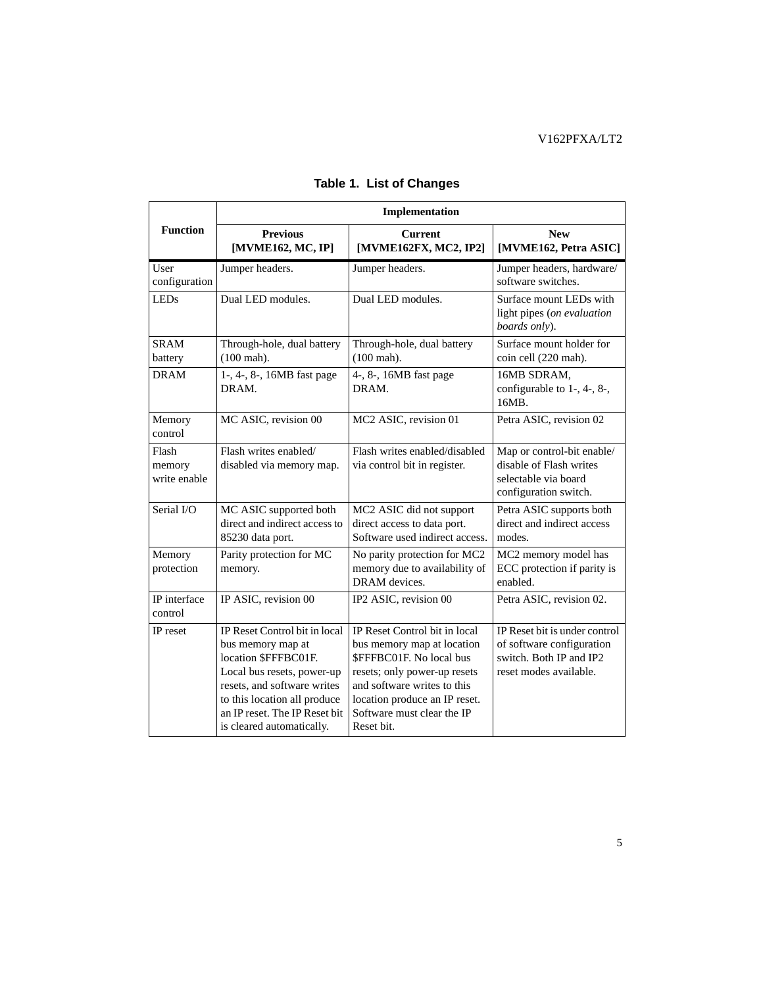|                                 | Implementation                                                                                                                                                                                                                        |                                                                                                                                                                                                                                     |                                                                                                                 |  |  |
|---------------------------------|---------------------------------------------------------------------------------------------------------------------------------------------------------------------------------------------------------------------------------------|-------------------------------------------------------------------------------------------------------------------------------------------------------------------------------------------------------------------------------------|-----------------------------------------------------------------------------------------------------------------|--|--|
| <b>Function</b>                 | <b>Previous</b><br>[MVME162, MC, IP]                                                                                                                                                                                                  | <b>Current</b><br>[MVME162FX, MC2, IP2]                                                                                                                                                                                             | <b>New</b><br>[MVME162, Petra ASIC]                                                                             |  |  |
| User<br>configuration           | Jumper headers.                                                                                                                                                                                                                       | Jumper headers.                                                                                                                                                                                                                     | Jumper headers, hardware/<br>software switches.                                                                 |  |  |
| <b>LEDs</b>                     | Dual LED modules.                                                                                                                                                                                                                     | Dual LED modules.                                                                                                                                                                                                                   | Surface mount LEDs with<br>light pipes (on evaluation<br>boards only).                                          |  |  |
| <b>SRAM</b><br>battery          | Through-hole, dual battery<br>$(100 \text{ mah})$ .                                                                                                                                                                                   | Through-hole, dual battery<br>$(100 \text{ mah})$ .                                                                                                                                                                                 | Surface mount holder for<br>coin cell (220 mah).                                                                |  |  |
| <b>DRAM</b>                     | 1-, 4-, 8-, 16MB fast page<br>DRAM.                                                                                                                                                                                                   | 4-, 8-, 16MB fast page<br>DRAM.                                                                                                                                                                                                     | 16MB SDRAM,<br>configurable to 1-, 4-, 8-,<br>16MB.                                                             |  |  |
| Memory<br>control               | MC ASIC, revision 00                                                                                                                                                                                                                  | MC2 ASIC, revision 01                                                                                                                                                                                                               | Petra ASIC, revision 02                                                                                         |  |  |
| Flash<br>memory<br>write enable | Flash writes enabled/<br>disabled via memory map.                                                                                                                                                                                     | Flash writes enabled/disabled<br>via control bit in register.                                                                                                                                                                       | Map or control-bit enable/<br>disable of Flash writes<br>selectable via board<br>configuration switch.          |  |  |
| Serial I/O                      | MC ASIC supported both<br>direct and indirect access to<br>85230 data port.                                                                                                                                                           | MC2 ASIC did not support<br>direct access to data port.<br>Software used indirect access.                                                                                                                                           | Petra ASIC supports both<br>direct and indirect access<br>modes.                                                |  |  |
| Memory<br>protection            | Parity protection for MC<br>memory.                                                                                                                                                                                                   | No parity protection for MC2<br>memory due to availability of<br>DRAM devices.                                                                                                                                                      | MC2 memory model has<br>ECC protection if parity is<br>enabled.                                                 |  |  |
| IP interface<br>control         | IP ASIC, revision 00                                                                                                                                                                                                                  | IP2 ASIC, revision 00                                                                                                                                                                                                               | Petra ASIC, revision 02.                                                                                        |  |  |
| IP reset                        | IP Reset Control bit in local<br>bus memory map at<br>location \$FFFBC01F.<br>Local bus resets, power-up<br>resets, and software writes<br>to this location all produce<br>an IP reset. The IP Reset bit<br>is cleared automatically. | IP Reset Control bit in local<br>bus memory map at location<br>\$FFFBC01F. No local bus<br>resets; only power-up resets<br>and software writes to this<br>location produce an IP reset.<br>Software must clear the IP<br>Reset bit. | IP Reset bit is under control<br>of software configuration<br>switch. Both IP and IP2<br>reset modes available. |  |  |

# **Table 1. List of Changes**